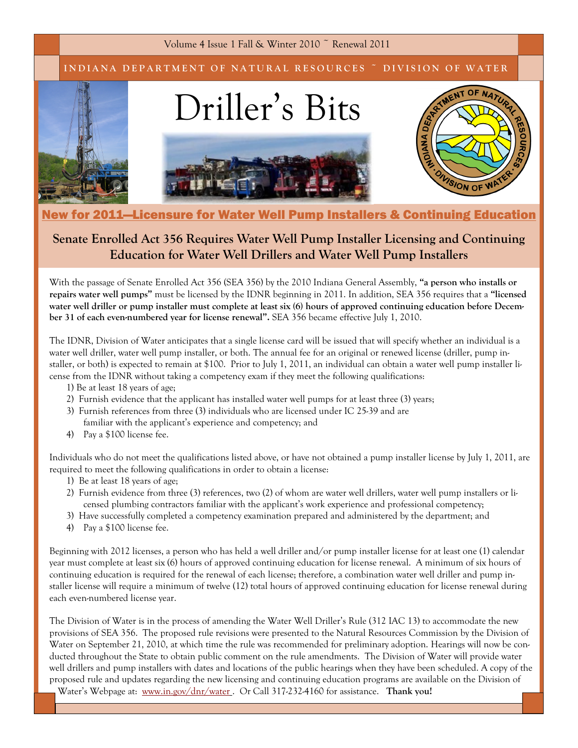Volume 4 Issue 1 Fall & Winter 2010 ~ Renewal 2011

INDIANA DEPARTMENT OF NATURAL RESOURCES ~ DIVISION OF WATER



## New for 2011—Licensure for Water Well Pump Installers & Continuing Education

## Senate Enrolled Act 356 Requires Water Well Pump Installer Licensing and Continuing Education for Water Well Drillers and Water Well Pump Installers

With the passage of Senate Enrolled Act 356 (SEA 356) by the 2010 Indiana General Assembly, "a person who installs or repairs water well pumps" must be licensed by the IDNR beginning in 2011. In addition, SEA 356 requires that a "licensed water well driller or pump installer must complete at least six (6) hours of approved continuing education before December 31 of each even-numbered year for license renewal". SEA 356 became effective July 1, 2010.

The IDNR, Division of Water anticipates that a single license card will be issued that will specify whether an individual is a water well driller, water well pump installer, or both. The annual fee for an original or renewed license (driller, pump installer, or both) is expected to remain at \$100. Prior to July 1, 2011, an individual can obtain a water well pump installer license from the IDNR without taking a competency exam if they meet the following qualifications:

- 1) Be at least 18 years of age;
- 2) Furnish evidence that the applicant has installed water well pumps for at least three (3) years;
- 3) Furnish references from three (3) individuals who are licensed under IC 25-39 and are familiar with the applicant's experience and competency; and
- 4) Pay a \$100 license fee.

Individuals who do not meet the qualifications listed above, or have not obtained a pump installer license by July 1, 2011, are required to meet the following qualifications in order to obtain a license:

- 1) Be at least 18 years of age;
- 2) Furnish evidence from three (3) references, two (2) of whom are water well drillers, water well pump installers or licensed plumbing contractors familiar with the applicant's work experience and professional competency;
- 3) Have successfully completed a competency examination prepared and administered by the department; and
- 4) Pay a \$100 license fee.

Beginning with 2012 licenses, a person who has held a well driller and/or pump installer license for at least one (1) calendar year must complete at least six (6) hours of approved continuing education for license renewal. A minimum of six hours of continuing education is required for the renewal of each license; therefore, a combination water well driller and pump installer license will require a minimum of twelve (12) total hours of approved continuing education for license renewal during each even-numbered license year.

The Division of Water is in the process of amending the Water Well Driller's Rule (312 IAC 13) to accommodate the new provisions of SEA 356. The proposed rule revisions were presented to the Natural Resources Commission by the Division of Water on September 21, 2010, at which time the rule was recommended for preliminary adoption. Hearings will now be conducted throughout the State to obtain public comment on the rule amendments. The Division of Water will provide water well drillers and pump installers with dates and locations of the public hearings when they have been scheduled. A copy of the proposed rule and updates regarding the new licensing and continuing education programs are available on the Division of Water's Webpage at: www.in.gov/dnr/water. Or Call 317-232-4160 for assistance. Thank you!